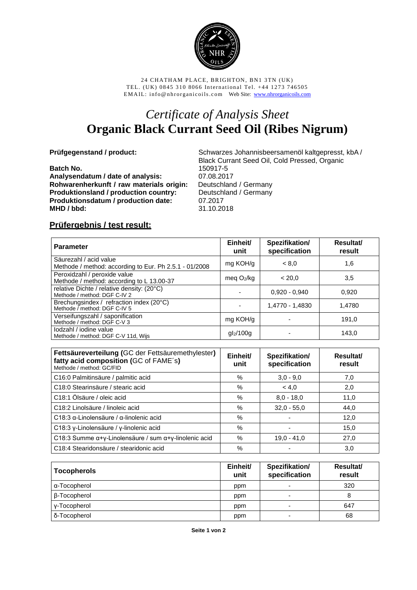

24 CHATHAM PLACE, BRIGHTON, BN1 3TN (UK) TEL. (UK) 0845 310 8066 International Tel. +44 1273 746505 EMAIL: info@nhrorganicoils.com Web Site: [www.nhrorganicoils.com](http://www.nhrorganicoils.com/)

## *Certificate of Analysis Sheet* **Organic Black Currant Seed Oil (Ribes Nigrum)**

**Batch No.** 150917-5<br>Analysendatum / date of analysis: 07.08.2017 **Analysendatum / date of analysis:** 07.08.2017 **Rohwarenherkunft / raw materials origin:** Deutschland / Germany **Produktionsland / production country:** Deutschland / Germany **Produktionsdatum / production date:** 07.2017 **MHD / bbd:** 31.10.2018

**Prüfgegenstand / product:** Schwarzes Johannisbeersamenöl kaltgepresst, kbA / Black Currant Seed Oil, Cold Pressed, Organic

## **Prüfergebnis / test result:**

| <b>Parameter</b>                                                                 | Einheit/<br>unit | Spezifikation/<br>specification | Resultat/<br>result |
|----------------------------------------------------------------------------------|------------------|---------------------------------|---------------------|
| Säurezahl / acid value<br>Methode / method: according to Eur. Ph 2.5.1 - 01/2008 | mg KOH/g         | < 8.0                           | 1,6                 |
| Peroxidzahl / peroxide value<br>Methode / method: according to L 13.00-37        | meg $O_2$ /kg    | < 20.0                          | 3,5                 |
| relative Dichte / relative density: (20°C)<br>Methode / method: DGF C-IV 2       |                  | $0.920 - 0.940$                 | 0.920               |
| Brechungsindex / refraction index (20°C)<br>Methode / method: DGF C-IV 5         |                  | 1,4770 - 1,4830                 | 1,4780              |
| Verseifungszahl / saponification<br>Methode / method: DGF C-V 3                  | mg KOH/g         |                                 | 191,0               |
| lodzahl / jodine value<br>Methode / method: DGF C-V 11d, Wijs                    | $gl_2/100g$      |                                 | 143.0               |

| Fettsäureverteilung (GC der Fettsäuremethylester)<br>fatty acid composition (GC of FAME's)<br>Methode / method: GC/FID | Einheit/<br>unit | Spezifikation/<br>specification | Resultat/<br>result |
|------------------------------------------------------------------------------------------------------------------------|------------------|---------------------------------|---------------------|
| C16:0 Palmitinsäure / palmitic acid                                                                                    | %                | $3,0 - 9,0$                     | 7,0                 |
| C18:0 Stearinsäure / stearic acid                                                                                      | $\%$             | < 4.0                           | 2,0                 |
| C18:1 Ölsäure / oleic acid                                                                                             | %                | $8.0 - 18.0$                    | 11,0                |
| C18:2 Linolsäure / linoleic acid                                                                                       | $\%$             | $32.0 - 55.0$                   | 44,0                |
| C18:3 $\alpha$ -Linolensäure / $\alpha$ -linolenic acid                                                                | %                |                                 | 12,0                |
| C18:3 γ-Linolensäure / γ-linolenic acid                                                                                | %                |                                 | 15,0                |
| C18:3 Summe $\alpha + \gamma$ -Linolensäure / sum $\alpha + \gamma$ -linolenic acid                                    | %                | $19.0 - 41.0$                   | 27,0                |
| C18:4 Stearidonsäure / stearidonic acid                                                                                | %                |                                 | 3,0                 |

| <b>Tocopherols</b> | Einheit/<br>unit | Spezifikation/<br>specification | Resultat/<br>result |
|--------------------|------------------|---------------------------------|---------------------|
| α-Tocopherol       | ppm              | ۰                               | 320                 |
| β-Tocopherol       | ppm              | ۰                               | 8                   |
| y-Tocopherol       | ppm              | $\overline{\phantom{0}}$        | 647                 |
| δ-Tocopherol       | ppm              | ۰                               | 68                  |